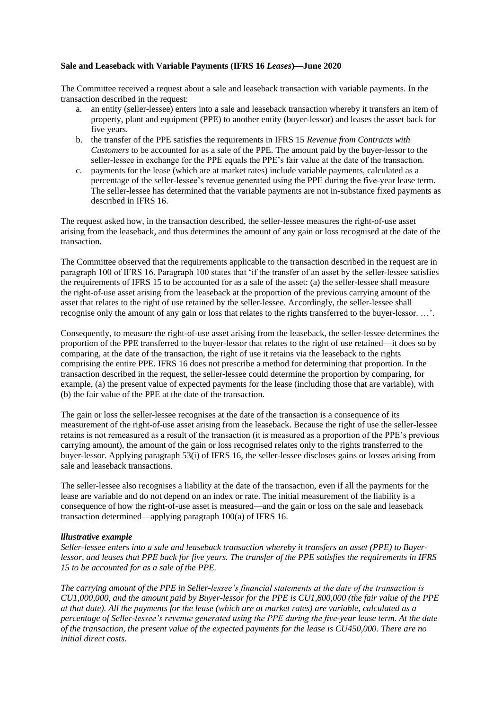## **Sale and Leaseback with Variable Payments (IFRS 16** *Leases***)—June 2020**

The Committee received a request about a sale and leaseback transaction with variable payments. In the transaction described in the request:

- a. an entity (seller-lessee) enters into a sale and leaseback transaction whereby it transfers an item of property, plant and equipment (PPE) to another entity (buyer-lessor) and leases the asset back for five years.
- b. the transfer of the PPE satisfies the requirements in IFRS 15 *Revenue from Contracts with Customers* to be accounted for as a sale of the PPE. The amount paid by the buyer-lessor to the seller-lessee in exchange for the PPE equals the PPE's fair value at the date of the transaction.
- c. payments for the lease (which are at market rates) include variable payments, calculated as a percentage of the seller-lessee's revenue generated using the PPE during the five-year lease term. The seller-lessee has determined that the variable payments are not in-substance fixed payments as described in IFRS 16.

The request asked how, in the transaction described, the seller-lessee measures the right-of-use asset arising from the leaseback, and thus determines the amount of any gain or loss recognised at the date of the transaction.

The Committee observed that the requirements applicable to the transaction described in the request are in paragraph 100 of IFRS 16. Paragraph 100 states that 'if the transfer of an asset by the seller-lessee satisfies the requirements of IFRS 15 to be accounted for as a sale of the asset: (a) the seller-lessee shall measure the right-of-use asset arising from the leaseback at the proportion of the previous carrying amount of the asset that relates to the right of use retained by the seller-lessee. Accordingly, the seller-lessee shall recognise only the amount of any gain or loss that relates to the rights transferred to the buyer-lessor. …'.

Consequently, to measure the right-of-use asset arising from the leaseback, the seller-lessee determines the proportion of the PPE transferred to the buyer-lessor that relates to the right of use retained—it does so by comparing, at the date of the transaction, the right of use it retains via the leaseback to the rights comprising the entire PPE. IFRS 16 does not prescribe a method for determining that proportion. In the transaction described in the request, the seller-lessee could determine the proportion by comparing, for example, (a) the present value of expected payments for the lease (including those that are variable), with (b) the fair value of the PPE at the date of the transaction.

The gain or loss the seller-lessee recognises at the date of the transaction is a consequence of its measurement of the right-of-use asset arising from the leaseback. Because the right of use the seller-lessee retains is not remeasured as a result of the transaction (it is measured as a proportion of the PPE's previous carrying amount), the amount of the gain or loss recognised relates only to the rights transferred to the buyer-lessor. Applying paragraph 53(i) of IFRS 16, the seller-lessee discloses gains or losses arising from sale and leaseback transactions.

The seller-lessee also recognises a liability at the date of the transaction, even if all the payments for the lease are variable and do not depend on an index or rate. The initial measurement of the liability is a consequence of how the right-of-use asset is measured—and the gain or loss on the sale and leaseback transaction determined—applying paragraph 100(a) of IFRS 16.

## *lllustrative example*

*Seller-lessee enters into a sale and leaseback transaction whereby it transfers an asset (PPE) to Buyerlessor, and leases that PPE back for five years. The transfer of the PPE satisfies the requirements in IFRS 15 to be accounted for as a sale of the PPE.*

*The carrying amount of the PPE in Seller-lessee's financial statements at the date of the transaction is CU1,000,000, and the amount paid by Buyer-lessor for the PPE is CU1,800,000 (the fair value of the PPE at that date). All the payments for the lease (which are at market rates) are variable, calculated as a percentage of Seller-lessee's revenue generated using the PPE during the five-year lease term. At the date of the transaction, the present value of the expected payments for the lease is CU450,000. There are no initial direct costs.*